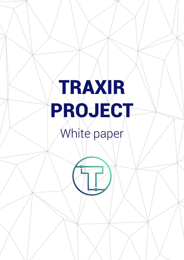# TRAXIR PROJECT White paper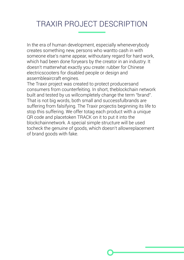# TRAXIR PROJECT DESCRIPTION

In the era of human development, especially wheneverybody creates something new, persons who wantto cash in with someone else's name appear, withoutany regard for hard work, which had been done foryears by the creator in an industry. It doesn't matterwhat exactly you create: rubber for Chinese electricscooters for disabled people or design and assembleaircraft engines.

The Traxir project was created to protect producersand consumers from counterfeiting. In short, theblockchain network built and tested by us willcompletely change the term "brand". That is not big words, both small and successfulbrands are suffering from falsifying. The Traxir projectis beginning its life to stop this suffering. We offer totag each product with a unique QR code and placetoken TRACK on it to put it into the blockchainnetwork. A special simple structure will be used tocheck the genuine of goods, which doesn't allowreplacement of brand goods with fake.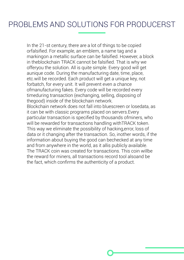## PROBLEMS AND SOLUTIONS FOR PRODUCERST

In the 21-st century, there are a lot of things to be copied orfalsified. For example, an emblem, a name tag and a markingon a metallic surface can be falsified. However, a block in theblockchain TRACK cannot be falsified. That is why we offeryou the solution. All is quite simple. Every good will get aunique code. During the manufacturing date, time, place, etc.will be recorded. Each product will get a unique key, not forbatch, for every unit. It will prevent even a chance ofmanufacturing fakes. Every code will be recorded every timeduring transaction (exchanging, selling, disposing of thegood) inside of the blockchain network. Blockchain network does not fall into bluescreen or losedata, as it can be with classic programs placed on servers.Every particular transaction is specified by thousands ofminers, who will be rewarded for transactions handling withTRACK token. This way we eliminate the possibility of hacking,error, loss of data or it changing after the transaction. So, inother words, if the information about buying the good can bechecked at any time and from anywhere in the world, as it allis publicly available. The TRACK coin was created for transactions. This coin willbe the reward for miners, all transactions record tool alsoand be the fact, which confirms the authenticity of a product.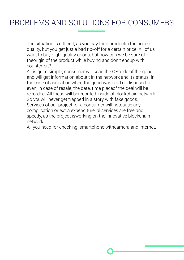# PROBLEMS AND SOLUTIONS FOR CONSUMERS

The situation is difficult, as you pay for a productin the hope of quality, but you get just a bad rip-off for a certain price. All of us want to buy high-quality goods, but how can we be sure of theorigin of the product while buying and don't endup with counterfeit?

All is quite simple, consumer will scan the QRcode of the good and will get information aboutit in the network and its status. In the case of asituation when the good was sold or disposed,or, even, in case of resale, the date, time placeof the deal will be recorded. All these will berecorded inside of blockchain network. So youwill never get trapped in a story with fake goods. Services of our project for a consumer will notcause any complication or extra expenditure, allservices are free and speedy, as the project isworking on the innovative blockchain network.

All you need for checking: smartphone withcamera and internet.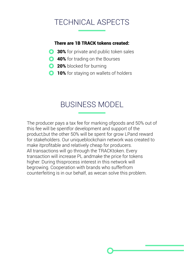# TECHNICAL ASPECTS

#### There are 1B TRACK tokens created:

- **30%** for private and public token sales
- **Q 40%** for trading on the Bourses
- **20%** blocked for burning
- **10%** for staying on wallets of holders

# BUSINESS MODEL

The producer pays a tax fee for marking ofgoods and 50% out of this fee will be spentfor development and support of the product,but the other 50% will be spent for grow LPand reward for stakeholders. Our uniqueblockchain network was created to make itprofitable and relatively cheap for producers. All transactions will go through the TRACKtoken. Every transaction will increase PL andmake the price for tokens higher. During thisprocess interest in this network will begrowing. Cooperation with brands who sufferfrom counterfeiting is in our behalf, as wecan solve this problem.